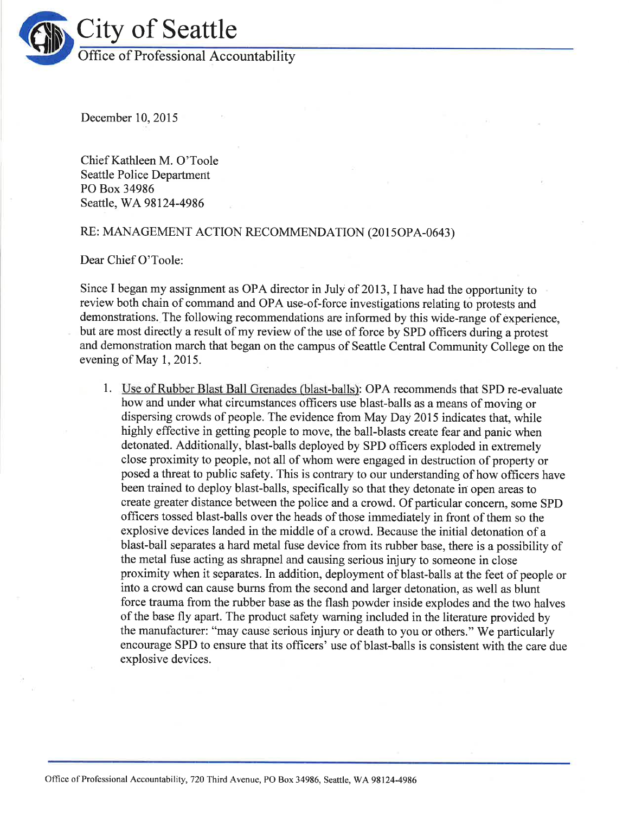

December 10,2015

Chief Kathleen M. O'Toole Seattle Police Department PO Box 34986 Seattle, WA 98124-4986

## RE: MANAGEMENT ACTION RECOMMENDATION (2015OPA-0643)

Dear Chief O'Toole:

Since I began my assignment as OPA director in July of 2013, I have had the opportunity to review both chain of command and OPA use-of-force investigations relating to protests and demonstrations. The following recommendations are informed by this wide-range of experience, but are most directly a result of my review of the use of force by SPD officers during a protest and demonstration march that began on the campus of Seattle Central Community College on the evening of May 1, 2015.

1. Use of Rubber Blast Ball Grenades (blast-balls): OPA recommends that SPD re-evaluate how and under what circumstances officers use blast-balls as a means of moving or dispersing crowds of people. The evidence from May Day 2015 indicates that, while highly effective in getting people to move, the ball-blasts create fear and panic when detonated. Additionally, blast-balls deployed by SPD officers exploded in extremely close proximity to people, not all of whom were engaged in destruction of property or posed a threat to public safety. This is contrary to our understanding of how officers have been trained to deploy blast-balls, specifically so that they detonate in open areas to create greater distance between the police and a crowd. Of particular concern, some SPD officers tossed blast-balls over the heads of those immediately in front of them so the explosive devices landed in the middle of a crowd. Because the initial detonation of a blast-ball separates a hard metal fuse device from its rubber base, there is a possibility of the metal fuse acting as shrapnel and causing serious injury to someone in close proximity when it separates. In addition, deployment of blast-balls at the feet of people or into a crowd can cause burns from the second and larger detonation, as well as blunt force trauma from the rubber base as the flash powder inside explodes and the two halves of the base fly apart. The product safety waming included in the literature provided by the manufacturer: "may cause serious injury or death to you or others." We particularly encourage SPD to ensure that its officers' use of blast-balls is consistent with the care due explosive devices.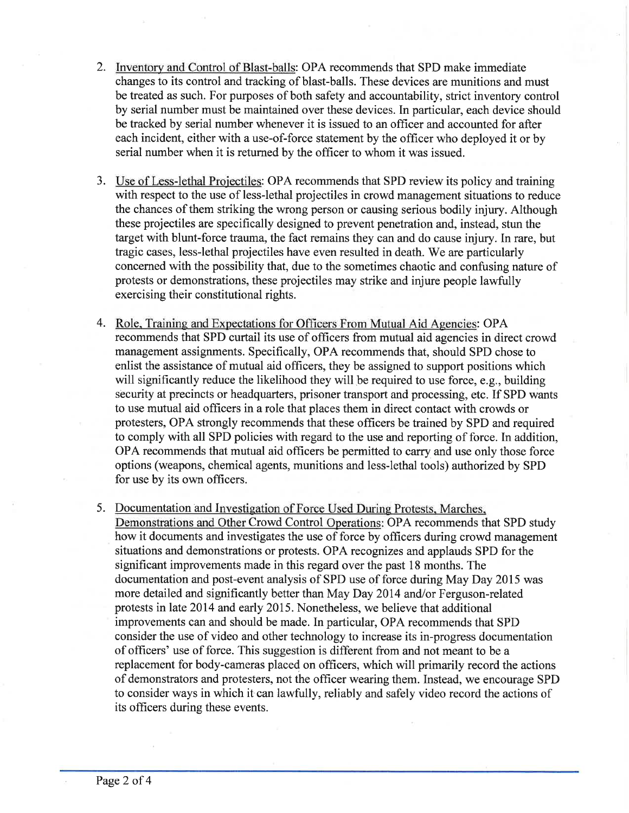- 2. Inventory and Control of Blast-balls: OPA recommends that SPD make immediate changes to its control and tracking of blast-balls. These devices are munitions and must be treated as such. For purposes of both safety and accountability, strict inventory control by serial number must be maintained over these devices. In particular, each device should be tracked by serial number whenever it is issued to an officer and accounted for after each incident, either with a use-of-force statement by the officer who deployed it or by serial number when it is returned by the officer to whom it was issued.
- 3. Use of Less-lethal Projectiles: OPA recommends that SPD review its policy and training with respect to the use of less-lethal projectiles in crowd management situations to reduce the chances of them striking the wrong person or causing serious bodily injury. Although these projectiles are specifically designed to prevent penetration and, instead, stun the target with blunt-force trauma, the fact remains they can and do cause injury. In rare, but tragic cases, less-lethal projectiles have even resulted in death. We are particularly concerned with the possibility that, due to the sometimes chaotic and confusing nature of protests or demonstrations, these projectiles may strike and injure people lawfully exercising their constitutional rights.
- 4. Role. Training and Expectations for Officers From Mutual Aid Agencies: OPA recommends that SPD curtail its use of offlrcers from mutual aid agencies in direct crowd management assignments. Specifically, OPA recommends that, should SPD chose to enlist the assistance of mutual aid officers, they be assigned to support positions which will significantly reduce the likelihood they will be required to use force, e.g., building security at precincts or headquarters, prisoner transport and processing, etc. If SPD wants to use mutual aid officers in a role that places them in direct contact with crowds or protesters, OPA strongly recommends that these officers be trained by SPD and required to comply with all SPD policies with regard to the use and reporting of force. In addition, OPA recommends that mutual aid officers be permitted to carry and use only those force options (weapons, chemical agents, munitions and less-lethal tools) authorized by SPD for use by its own officers.
- 5. Documentation and Investigation of Force Used During Protests, Marches, Demonstrations and Other Crowd Control Operations: OPA recommends that SPD study how it documents and investigates the use of force by officers during crowd management situations and demonstrations or protests. OPA recognizes and applauds SPD for the significant improvements made in this regard over the past 18 months. The documentation and post-event analysis of SPD use of force during May Day 2015 was more detailed and significantly better than May Day 2014 and/or Ferguson-related protests in late 2014 and early 2015. Nonetheless, we believe that additional improvements can and should be made. In particular, OPA recommends that SPD consider the use of video and other technology to increase its in-progress documentation of officers' use of force. This suggestion is different from and not meant to be a replacement for body-cameras placed on officers, which will primarily record the actions of demonstrators and protesters, not the officer wearing them. Instead, we encourage SPD to consider ways in which it can lawfully, reliably and safely video record the actions of its officers during these events.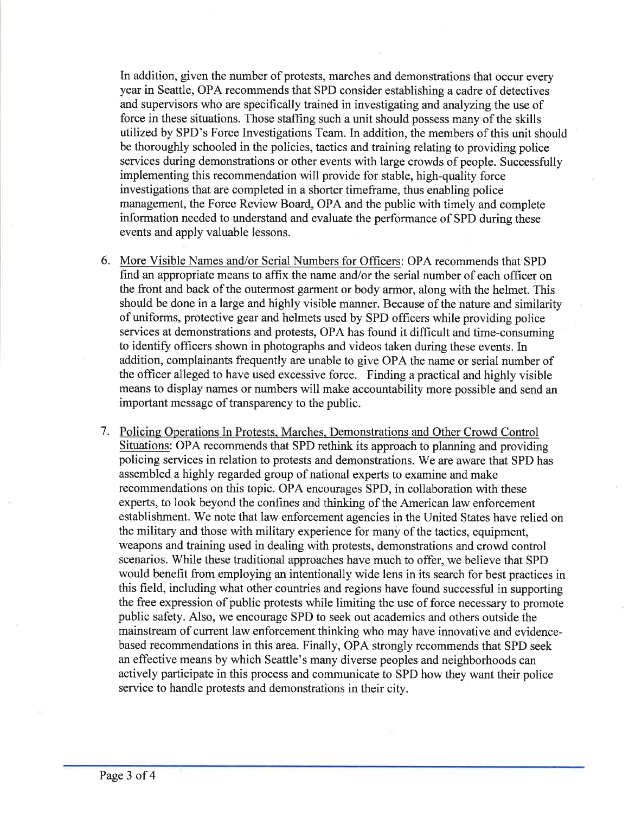In addition, given the number of protests, marches and demonstrations that occur every year in Seattle, OPA recommends that SPD consider establishing a cadre of detectives and supervisors who are specifically trained in investigating and analyzing the use of force in these situations. Those staffing such a unit should possess many of the skills utilized by SPD's Force Investigations Team. In addition, the members of this unit should be thoroughly schooled in the policies, tactics and training relating to providing police services during demonstrations or other events with large crowds of people. Successfully implementing this recommendation will provide for stable, high-quality force investigations that are completed in a shorter timeframe, thus enabling police management, the Force Review Board, OPA and the public with timely and complete information needed to understand and evaluate the performance of SPD during these events and apply valuable lessons.

- 6. More Visible Names and/or Serial Numbers for Officers: OPA recommends that SPD find an appropriate means to affix the name and/or the serial number of each officer on the front and back of the outermost garment or body armor, along with the helmet. This should be done in a large and highly visible manner. Because of the nature and similarity of uniforms, protective gear and helmets used by SPD officers while providing police services at demonstrations and protests, OPA has found it difficult and time-consuming to identify officers shown in photographs and videos taken during these events. In addition, complainants frequently are unable to give OPA the name or serial number of the officer alleged to have used excessive force. Finding a practical and highly visible means to display names or numbers will make accountability more possible and send an important message of transparency to the public.
- 7. Policing Operations In Protests. Marches. Demonstrations and Other Crowd Control Situations: OPA recommends that SPD rethink its approach to planning and providing policing services in relation to protests and demonstrations. We are aware that SPD has assembled a highly regarded group of national experts to examine and make recommendations on this topic. OPA encourages SPD, in collaboration with these experts, to look beyond the confines and thinking of the American law enforcement establishment. We note that law enforcement agencies in the United States have relied on the military and those with military experience for many of the tactics, equipment, weapons and training used in dealing with protests, demonstrations and crowd control scenarios. While these traditional approaches have much to offer, we believe that SPD would benefit from employing an intentionally wide lens in its search for best practices in this field, including what other countries and regions have found successful in supporting the free expression of public protests while limiting the use of force necessary to promote public safety. Also, we encourage SPD to seek out academics and others outside the mainstream of current law enforcement thinking who may have innovative and evidencebased recommendations in this area. Finally, OPA strongly recommends that SPD seek an effective means by which Seattle's many diverse peoples and neighborhoods can actively participate in this process and communicate to SPD how they want their police service to handle protests and demonstrations in their city.